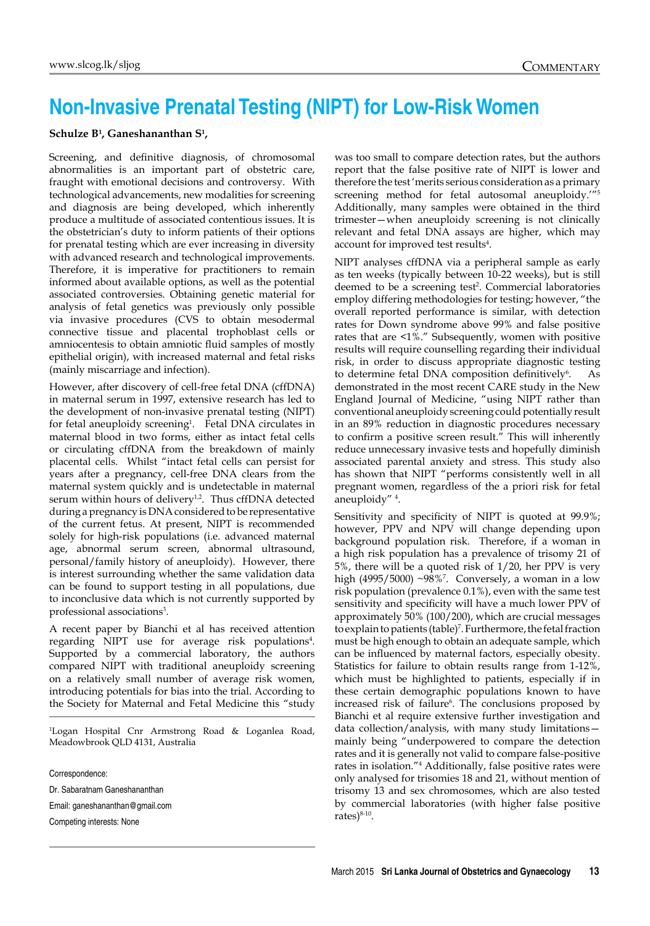## **Non-Invasive Prenatal Testing (NIPT) for Low-Risk Women**

## **Schulze B1 , Ganeshananthan S1 ,**

Screening, and definitive diagnosis, of chromosomal abnormalities is an important part of obstetric care, fraught with emotional decisions and controversy. With technological advancements, new modalities for screening and diagnosis are being developed, which inherently produce a multitude of associated contentious issues. It is the obstetrician's duty to inform patients of their options for prenatal testing which are ever increasing in diversity with advanced research and technological improvements. Therefore, it is imperative for practitioners to remain informed about available options, as well as the potential associated controversies. Obtaining genetic material for analysis of fetal genetics was previously only possible via invasive procedures (CVS to obtain mesodermal connective tissue and placental trophoblast cells or amniocentesis to obtain amniotic fluid samples of mostly epithelial origin), with increased maternal and fetal risks (mainly miscarriage and infection).

However, after discovery of cell-free fetal DNA (cffDNA) in maternal serum in 1997, extensive research has led to the development of non-invasive prenatal testing (NIPT) for fetal aneuploidy screening<sup>1</sup>. Fetal DNA circulates in maternal blood in two forms, either as intact fetal cells or circulating cffDNA from the breakdown of mainly placental cells. Whilst "intact fetal cells can persist for years after a pregnancy, cell-free DNA clears from the maternal system quickly and is undetectable in maternal serum within hours of delivery<sup>1,2</sup>. Thus cffDNA detected during a pregnancy is DNA considered to be representative of the current fetus. At present, NIPT is recommended solely for high-risk populations (i.e. advanced maternal age, abnormal serum screen, abnormal ultrasound, personal/family history of aneuploidy). However, there is interest surrounding whether the same validation data can be found to support testing in all populations, due to inconclusive data which is not currently supported by professional associations<sup>3</sup>.

A recent paper by Bianchi et al has received attention regarding NIPT use for average risk populations<sup>4</sup>. Supported by a commercial laboratory, the authors compared NIPT with traditional aneuploidy screening on a relatively small number of average risk women, introducing potentials for bias into the trial. According to the Society for Maternal and Fetal Medicine this "study

1 Logan Hospital Cnr Armstrong Road & Loganlea Road, Meadowbrook QLD 4131, Australia

Correspondence:

Dr. Sabaratnam Ganeshananthan

Email: ganeshananthan@gmail.com

Competing interests: None

was too small to compare detection rates, but the authors report that the false positive rate of NIPT is lower and therefore the test 'merits serious consideration as a primary screening method for fetal autosomal aneuploidy.'"<sup>5</sup> Additionally, many samples were obtained in the third trimester—when aneuploidy screening is not clinically relevant and fetal DNA assays are higher, which may account for improved test results<sup>4</sup>.

NIPT analyses cffDNA via a peripheral sample as early as ten weeks (typically between 10-22 weeks), but is still deemed to be a screening test<sup>2</sup>. Commercial laboratories employ differing methodologies for testing; however, "the overall reported performance is similar, with detection rates for Down syndrome above 99% and false positive rates that are <1%." Subsequently, women with positive results will require counselling regarding their individual risk, in order to discuss appropriate diagnostic testing to determine fetal DNA composition definitively<sup>6</sup>. . As demonstrated in the most recent CARE study in the New England Journal of Medicine, "using NIPT rather than conventional aneuploidy screening could potentially result in an 89% reduction in diagnostic procedures necessary to confirm a positive screen result." This will inherently reduce unnecessary invasive tests and hopefully diminish associated parental anxiety and stress. This study also has shown that NIPT "performs consistently well in all pregnant women, regardless of the a priori risk for fetal aneuploidy" <sup>4</sup> .

Sensitivity and specificity of NIPT is quoted at 99.9%; however, PPV and NPV will change depending upon background population risk. Therefore, if a woman in a high risk population has a prevalence of trisomy 21 of 5%, there will be a quoted risk of 1/20, her PPV is very high (4995/5000) ~98%7 . Conversely, a woman in a low risk population (prevalence 0.1%), even with the same test sensitivity and specificity will have a much lower PPV of approximately 50% (100/200), which are crucial messages to explain to patients (table)<sup>7</sup>. Furthermore, the fetal fraction must be high enough to obtain an adequate sample, which can be influenced by maternal factors, especially obesity. Statistics for failure to obtain results range from 1-12%, which must be highlighted to patients, especially if in these certain demographic populations known to have increased risk of failure<sup>6</sup>. The conclusions proposed by Bianchi et al require extensive further investigation and data collection/analysis, with many study limitations mainly being "underpowered to compare the detection rates and it is generally not valid to compare false-positive rates in isolation."<sup>4</sup> Additionally, false positive rates were only analysed for trisomies 18 and 21, without mention of trisomy 13 and sex chromosomes, which are also tested by commercial laboratories (with higher false positive rates)<sup>8-10</sup>.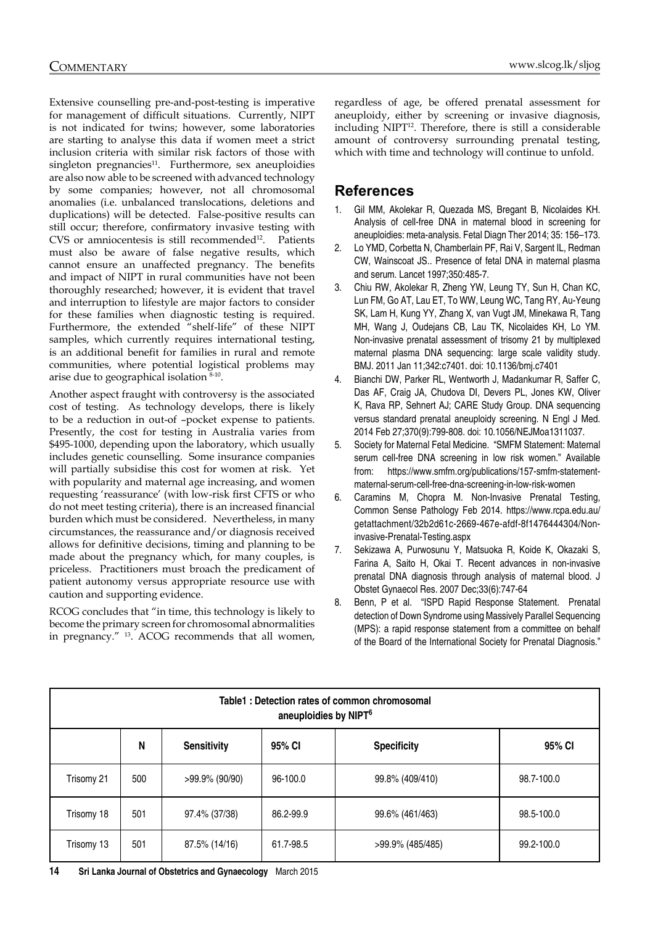Extensive counselling pre-and-post-testing is imperative for management of difficult situations. Currently, NIPT is not indicated for twins; however, some laboratories are starting to analyse this data if women meet a strict inclusion criteria with similar risk factors of those with  $singleton$  pregnancies $^{11}$ . Furthermore, sex aneuploidies are also now able to be screened with advanced technology by some companies; however, not all chromosomal anomalies (i.e. unbalanced translocations, deletions and duplications) will be detected. False-positive results can still occur; therefore, confirmatory invasive testing with CVS or amniocentesis is still recommended<sup>12</sup>. Patients must also be aware of false negative results, which cannot ensure an unaffected pregnancy. The benefits and impact of NIPT in rural communities have not been thoroughly researched; however, it is evident that travel and interruption to lifestyle are major factors to consider for these families when diagnostic testing is required. Furthermore, the extended "shelf-life" of these NIPT samples, which currently requires international testing, is an additional benefit for families in rural and remote communities, where potential logistical problems may arise due to geographical isolation 8-10.

Another aspect fraught with controversy is the associated cost of testing. As technology develops, there is likely to be a reduction in out-of –pocket expense to patients. Presently, the cost for testing in Australia varies from \$495-1000, depending upon the laboratory, which usually includes genetic counselling. Some insurance companies will partially subsidise this cost for women at risk. Yet with popularity and maternal age increasing, and women requesting 'reassurance' (with low-risk first CFTS or who do not meet testing criteria), there is an increased financial burden which must be considered. Nevertheless, in many circumstances, the reassurance and/or diagnosis received allows for definitive decisions, timing and planning to be made about the pregnancy which, for many couples, is priceless. Practitioners must broach the predicament of patient autonomy versus appropriate resource use with caution and supporting evidence.

RCOG concludes that "in time, this technology is likely to become the primary screen for chromosomal abnormalities in pregnancy." 13. ACOG recommends that all women, regardless of age, be offered prenatal assessment for aneuploidy, either by screening or invasive diagnosis, including NIPT<sup>12</sup>. Therefore, there is still a considerable amount of controversy surrounding prenatal testing, which with time and technology will continue to unfold.

## **References**

- 1. Gil MM, Akolekar R, Quezada MS, Bregant B, Nicolaides KH. Analysis of cell-free DNA in maternal blood in screening for aneuploidies: meta-analysis. Fetal Diagn Ther 2014; 35: 156–173.
- 2. Lo YMD, Corbetta N, Chamberlain PF, Rai V, Sargent IL, Redman CW, Wainscoat JS.. Presence of fetal DNA in maternal plasma and serum. Lancet 1997;350:485-7.
- 3. Chiu RW, Akolekar R, Zheng YW, Leung TY, Sun H, Chan KC, Lun FM, Go AT, Lau ET, To WW, Leung WC, Tang RY, Au-Yeung SK, Lam H, Kung YY, Zhang X, van Vugt JM, Minekawa R, Tang MH, Wang J, Oudejans CB, Lau TK, Nicolaides KH, Lo YM. Non-invasive prenatal assessment of trisomy 21 by multiplexed maternal plasma DNA sequencing: large scale validity study. BMJ. 2011 Jan 11;342:c7401. doi: 10.1136/bmj.c7401
- 4. Bianchi DW, Parker RL, Wentworth J, Madankumar R, Saffer C, Das AF, Craig JA, Chudova DI, Devers PL, Jones KW, Oliver K, Rava RP, Sehnert AJ; CARE Study Group. DNA sequencing versus standard prenatal aneuploidy screening. N Engl J Med. 2014 Feb 27;370(9):799-808. doi: 10.1056/NEJMoa1311037.
- 5. Society for Maternal Fetal Medicine. "SMFM Statement: Maternal serum cell-free DNA screening in low risk women." Available from: [https://www.smfm.org/publications/157-smfm-statement](https://www.smfm.org/publications/157-smfm-statement-maternal-serum-cell-free-dna-screening-in-low-risk-women)[maternal-serum-cell-free-dna-screening-in-low-risk-women](https://www.smfm.org/publications/157-smfm-statement-maternal-serum-cell-free-dna-screening-in-low-risk-women)
- 6. Caramins M, Chopra M. Non-Invasive Prenatal Testing, Common Sense Pathology Feb 2014. [https://www.rcpa.edu.au/](https://www.rcpa.edu.au/getattachment/32b2d61c-2669-467e-afdf-8f1476444304/Non-invasive-Prenatal-Testing.aspx) [getattachment/32b2d61c-2669-467e-afdf-8f1476444304/Non](https://www.rcpa.edu.au/getattachment/32b2d61c-2669-467e-afdf-8f1476444304/Non-invasive-Prenatal-Testing.aspx)[invasive-Prenatal-Testing.aspx](https://www.rcpa.edu.au/getattachment/32b2d61c-2669-467e-afdf-8f1476444304/Non-invasive-Prenatal-Testing.aspx)
- 7. Sekizawa A, Purwosunu Y, Matsuoka R, Koide K, Okazaki S, Farina A, Saito H, Okai T. Recent advances in non-invasive prenatal DNA diagnosis through analysis of maternal blood. J Obstet Gynaecol Res. 2007 Dec;33(6):747-64
- 8. Benn, P et al. "ISPD Rapid Response Statement. Prenatal detection of Down Syndrome using Massively Parallel Sequencing (MPS): a rapid response statement from a committee on behalf of the Board of the International Society for Prenatal Diagnosis."

| Table1: Detection rates of common chromosomal<br>aneuploidies by NIPT <sup>6</sup> |     |                    |           |                    |            |
|------------------------------------------------------------------------------------|-----|--------------------|-----------|--------------------|------------|
|                                                                                    | N   | <b>Sensitivity</b> | 95% CI    | <b>Specificity</b> | 95% CI     |
| Trisomy 21                                                                         | 500 | >99.9% (90/90)     | 96-100.0  | 99.8% (409/410)    | 98.7-100.0 |
| Trisomy 18                                                                         | 501 | 97.4% (37/38)      | 86.2-99.9 | 99.6% (461/463)    | 98.5-100.0 |
| Trisomy 13                                                                         | 501 | 87.5% (14/16)      | 61.7-98.5 | >99.9% (485/485)   | 99.2-100.0 |